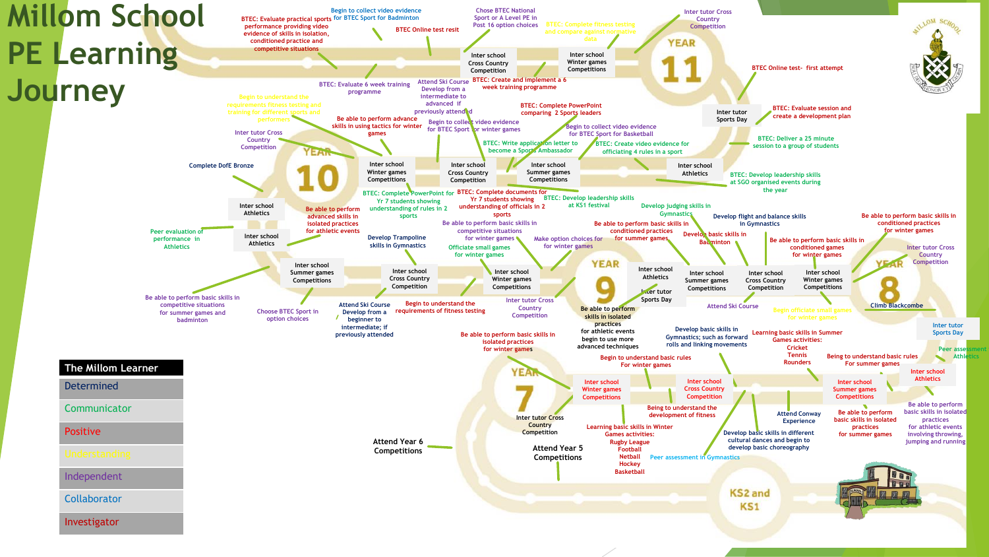